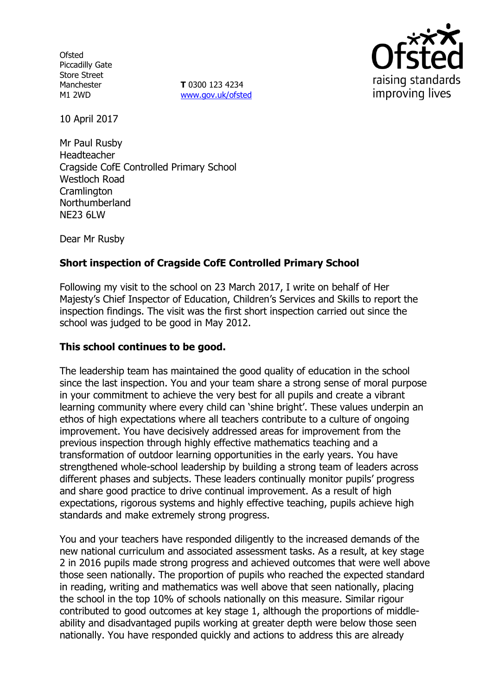**Ofsted** Piccadilly Gate Store Street Manchester M1 2WD

**T** 0300 123 4234 www.gov.uk/ofsted



10 April 2017

Mr Paul Rusby Headteacher Cragside CofE Controlled Primary School Westloch Road **Cramlington** Northumberland NE23 6LW

Dear Mr Rusby

# **Short inspection of Cragside CofE Controlled Primary School**

Following my visit to the school on 23 March 2017, I write on behalf of Her Majesty"s Chief Inspector of Education, Children"s Services and Skills to report the inspection findings. The visit was the first short inspection carried out since the school was judged to be good in May 2012.

## **This school continues to be good.**

The leadership team has maintained the good quality of education in the school since the last inspection. You and your team share a strong sense of moral purpose in your commitment to achieve the very best for all pupils and create a vibrant learning community where every child can 'shine bright'. These values underpin an ethos of high expectations where all teachers contribute to a culture of ongoing improvement. You have decisively addressed areas for improvement from the previous inspection through highly effective mathematics teaching and a transformation of outdoor learning opportunities in the early years. You have strengthened whole-school leadership by building a strong team of leaders across different phases and subjects. These leaders continually monitor pupils' progress and share good practice to drive continual improvement. As a result of high expectations, rigorous systems and highly effective teaching, pupils achieve high standards and make extremely strong progress.

You and your teachers have responded diligently to the increased demands of the new national curriculum and associated assessment tasks. As a result, at key stage 2 in 2016 pupils made strong progress and achieved outcomes that were well above those seen nationally. The proportion of pupils who reached the expected standard in reading, writing and mathematics was well above that seen nationally, placing the school in the top 10% of schools nationally on this measure. Similar rigour contributed to good outcomes at key stage 1, although the proportions of middleability and disadvantaged pupils working at greater depth were below those seen nationally. You have responded quickly and actions to address this are already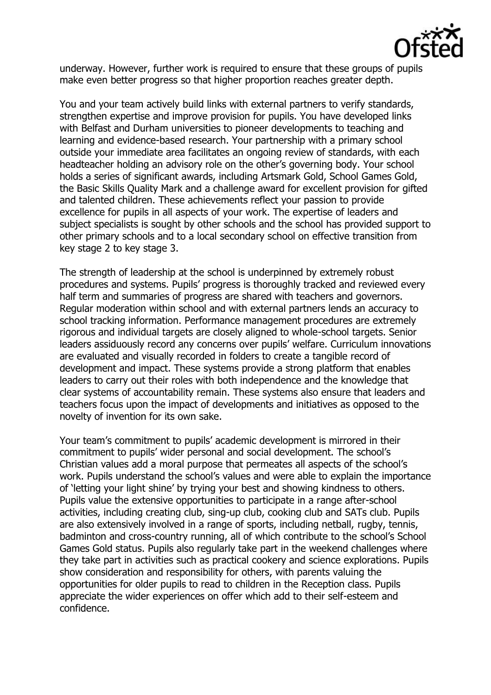

underway. However, further work is required to ensure that these groups of pupils make even better progress so that higher proportion reaches greater depth.

You and your team actively build links with external partners to verify standards, strengthen expertise and improve provision for pupils. You have developed links with Belfast and Durham universities to pioneer developments to teaching and learning and evidence-based research. Your partnership with a primary school outside your immediate area facilitates an ongoing review of standards, with each headteacher holding an advisory role on the other"s governing body. Your school holds a series of significant awards, including Artsmark Gold, School Games Gold, the Basic Skills Quality Mark and a challenge award for excellent provision for gifted and talented children. These achievements reflect your passion to provide excellence for pupils in all aspects of your work. The expertise of leaders and subject specialists is sought by other schools and the school has provided support to other primary schools and to a local secondary school on effective transition from key stage 2 to key stage 3.

The strength of leadership at the school is underpinned by extremely robust procedures and systems. Pupils" progress is thoroughly tracked and reviewed every half term and summaries of progress are shared with teachers and governors. Regular moderation within school and with external partners lends an accuracy to school tracking information. Performance management procedures are extremely rigorous and individual targets are closely aligned to whole-school targets. Senior leaders assiduously record any concerns over pupils" welfare. Curriculum innovations are evaluated and visually recorded in folders to create a tangible record of development and impact. These systems provide a strong platform that enables leaders to carry out their roles with both independence and the knowledge that clear systems of accountability remain. These systems also ensure that leaders and teachers focus upon the impact of developments and initiatives as opposed to the novelty of invention for its own sake.

Your team"s commitment to pupils" academic development is mirrored in their commitment to pupils" wider personal and social development. The school"s Christian values add a moral purpose that permeates all aspects of the school"s work. Pupils understand the school's values and were able to explain the importance of "letting your light shine" by trying your best and showing kindness to others. Pupils value the extensive opportunities to participate in a range after-school activities, including creating club, sing-up club, cooking club and SATs club. Pupils are also extensively involved in a range of sports, including netball, rugby, tennis, badminton and cross-country running, all of which contribute to the school"s School Games Gold status. Pupils also regularly take part in the weekend challenges where they take part in activities such as practical cookery and science explorations. Pupils show consideration and responsibility for others, with parents valuing the opportunities for older pupils to read to children in the Reception class. Pupils appreciate the wider experiences on offer which add to their self-esteem and confidence.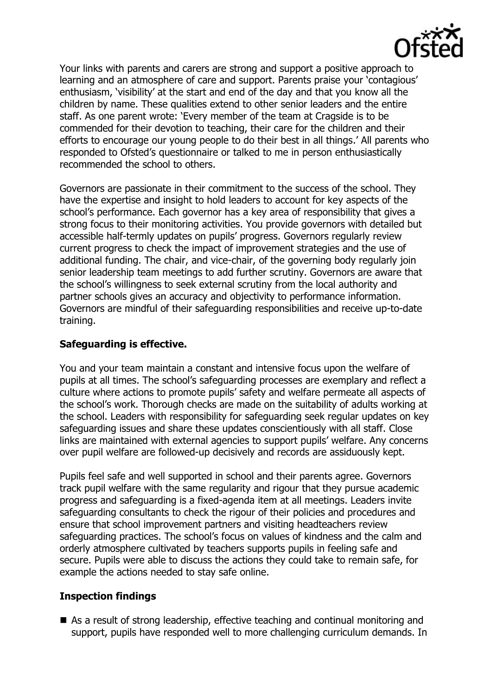

Your links with parents and carers are strong and support a positive approach to learning and an atmosphere of care and support. Parents praise your 'contagious' enthusiasm, "visibility" at the start and end of the day and that you know all the children by name. These qualities extend to other senior leaders and the entire staff. As one parent wrote: "Every member of the team at Cragside is to be commended for their devotion to teaching, their care for the children and their efforts to encourage our young people to do their best in all things." All parents who responded to Ofsted"s questionnaire or talked to me in person enthusiastically recommended the school to others.

Governors are passionate in their commitment to the success of the school. They have the expertise and insight to hold leaders to account for key aspects of the school"s performance. Each governor has a key area of responsibility that gives a strong focus to their monitoring activities. You provide governors with detailed but accessible half-termly updates on pupils" progress. Governors regularly review current progress to check the impact of improvement strategies and the use of additional funding. The chair, and vice-chair, of the governing body regularly join senior leadership team meetings to add further scrutiny. Governors are aware that the school"s willingness to seek external scrutiny from the local authority and partner schools gives an accuracy and objectivity to performance information. Governors are mindful of their safeguarding responsibilities and receive up-to-date training.

## **Safeguarding is effective.**

You and your team maintain a constant and intensive focus upon the welfare of pupils at all times. The school"s safeguarding processes are exemplary and reflect a culture where actions to promote pupils" safety and welfare permeate all aspects of the school"s work. Thorough checks are made on the suitability of adults working at the school. Leaders with responsibility for safeguarding seek regular updates on key safeguarding issues and share these updates conscientiously with all staff. Close links are maintained with external agencies to support pupils' welfare. Any concerns over pupil welfare are followed-up decisively and records are assiduously kept.

Pupils feel safe and well supported in school and their parents agree. Governors track pupil welfare with the same regularity and rigour that they pursue academic progress and safeguarding is a fixed-agenda item at all meetings. Leaders invite safeguarding consultants to check the rigour of their policies and procedures and ensure that school improvement partners and visiting headteachers review safeguarding practices. The school's focus on values of kindness and the calm and orderly atmosphere cultivated by teachers supports pupils in feeling safe and secure. Pupils were able to discuss the actions they could take to remain safe, for example the actions needed to stay safe online.

#### **Inspection findings**

■ As a result of strong leadership, effective teaching and continual monitoring and support, pupils have responded well to more challenging curriculum demands. In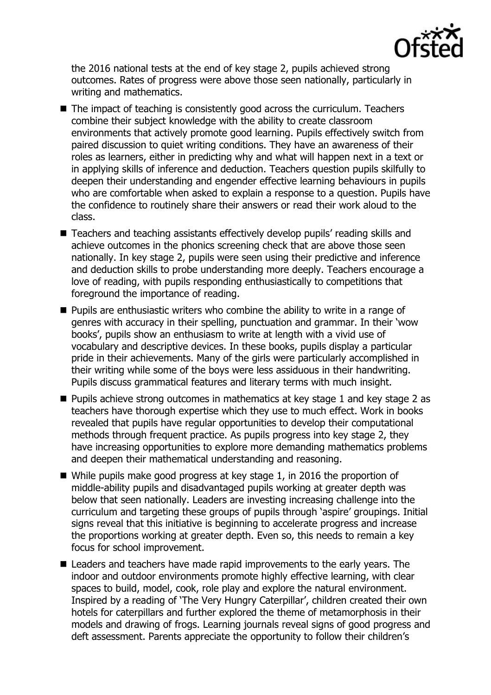

the 2016 national tests at the end of key stage 2, pupils achieved strong outcomes. Rates of progress were above those seen nationally, particularly in writing and mathematics.

- The impact of teaching is consistently good across the curriculum. Teachers combine their subject knowledge with the ability to create classroom environments that actively promote good learning. Pupils effectively switch from paired discussion to quiet writing conditions. They have an awareness of their roles as learners, either in predicting why and what will happen next in a text or in applying skills of inference and deduction. Teachers question pupils skilfully to deepen their understanding and engender effective learning behaviours in pupils who are comfortable when asked to explain a response to a question. Pupils have the confidence to routinely share their answers or read their work aloud to the class.
- Teachers and teaching assistants effectively develop pupils' reading skills and achieve outcomes in the phonics screening check that are above those seen nationally. In key stage 2, pupils were seen using their predictive and inference and deduction skills to probe understanding more deeply. Teachers encourage a love of reading, with pupils responding enthusiastically to competitions that foreground the importance of reading.
- **Pupils are enthusiastic writers who combine the ability to write in a range of** genres with accuracy in their spelling, punctuation and grammar. In their "wow books", pupils show an enthusiasm to write at length with a vivid use of vocabulary and descriptive devices. In these books, pupils display a particular pride in their achievements. Many of the girls were particularly accomplished in their writing while some of the boys were less assiduous in their handwriting. Pupils discuss grammatical features and literary terms with much insight.
- Pupils achieve strong outcomes in mathematics at key stage 1 and key stage 2 as teachers have thorough expertise which they use to much effect. Work in books revealed that pupils have regular opportunities to develop their computational methods through frequent practice. As pupils progress into key stage 2, they have increasing opportunities to explore more demanding mathematics problems and deepen their mathematical understanding and reasoning.
- While pupils make good progress at key stage 1, in 2016 the proportion of middle-ability pupils and disadvantaged pupils working at greater depth was below that seen nationally. Leaders are investing increasing challenge into the curriculum and targeting these groups of pupils through "aspire" groupings. Initial signs reveal that this initiative is beginning to accelerate progress and increase the proportions working at greater depth. Even so, this needs to remain a key focus for school improvement.
- Leaders and teachers have made rapid improvements to the early years. The indoor and outdoor environments promote highly effective learning, with clear spaces to build, model, cook, role play and explore the natural environment. Inspired by a reading of 'The Very Hungry Caterpillar', children created their own hotels for caterpillars and further explored the theme of metamorphosis in their models and drawing of frogs. Learning journals reveal signs of good progress and deft assessment. Parents appreciate the opportunity to follow their children's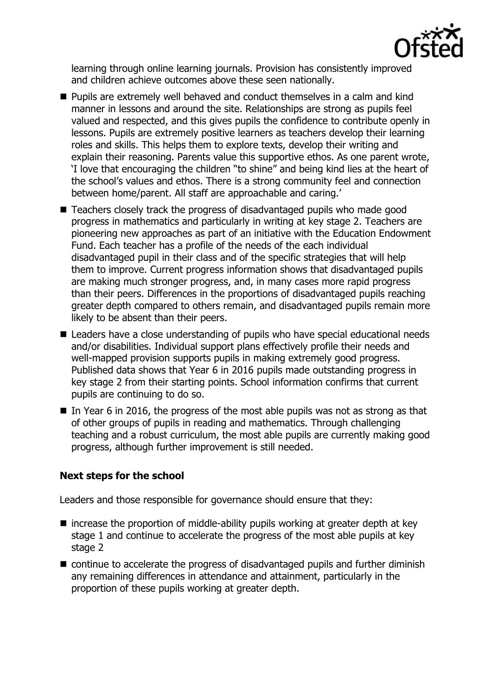

learning through online learning journals. Provision has consistently improved and children achieve outcomes above these seen nationally.

- **Pupils are extremely well behaved and conduct themselves in a calm and kind** manner in lessons and around the site. Relationships are strong as pupils feel valued and respected, and this gives pupils the confidence to contribute openly in lessons. Pupils are extremely positive learners as teachers develop their learning roles and skills. This helps them to explore texts, develop their writing and explain their reasoning. Parents value this supportive ethos. As one parent wrote, "I love that encouraging the children "to shine" and being kind lies at the heart of the school"s values and ethos. There is a strong community feel and connection between home/parent. All staff are approachable and caring."
- Teachers closely track the progress of disadvantaged pupils who made good progress in mathematics and particularly in writing at key stage 2. Teachers are pioneering new approaches as part of an initiative with the Education Endowment Fund. Each teacher has a profile of the needs of the each individual disadvantaged pupil in their class and of the specific strategies that will help them to improve. Current progress information shows that disadvantaged pupils are making much stronger progress, and, in many cases more rapid progress than their peers. Differences in the proportions of disadvantaged pupils reaching greater depth compared to others remain, and disadvantaged pupils remain more likely to be absent than their peers.
- Leaders have a close understanding of pupils who have special educational needs and/or disabilities. Individual support plans effectively profile their needs and well-mapped provision supports pupils in making extremely good progress. Published data shows that Year 6 in 2016 pupils made outstanding progress in key stage 2 from their starting points. School information confirms that current pupils are continuing to do so.
- In Year 6 in 2016, the progress of the most able pupils was not as strong as that of other groups of pupils in reading and mathematics. Through challenging teaching and a robust curriculum, the most able pupils are currently making good progress, although further improvement is still needed.

# **Next steps for the school**

Leaders and those responsible for governance should ensure that they:

- $\blacksquare$  increase the proportion of middle-ability pupils working at greater depth at key stage 1 and continue to accelerate the progress of the most able pupils at key stage 2
- continue to accelerate the progress of disadvantaged pupils and further diminish any remaining differences in attendance and attainment, particularly in the proportion of these pupils working at greater depth.